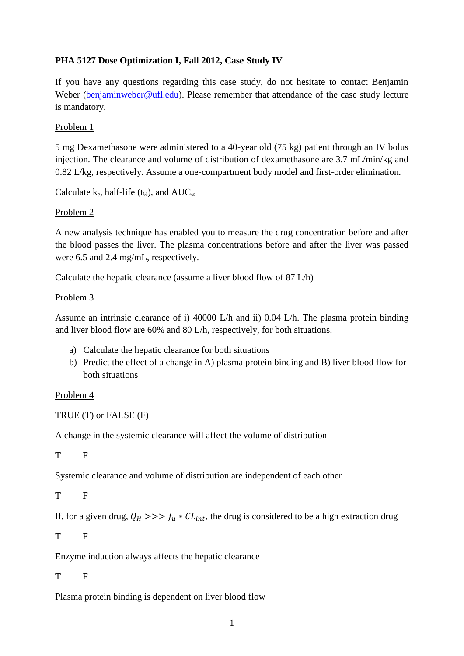## **PHA 5127 Dose Optimization I, Fall 2012, Case Study IV**

If you have any questions regarding this case study, do not hesitate to contact Benjamin Weber [\(benjaminweber@ufl.edu\)](mailto:benjaminweber@ufl.edu). Please remember that attendance of the case study lecture is mandatory.

#### Problem 1

5 mg Dexamethasone were administered to a 40-year old (75 kg) patient through an IV bolus injection. The clearance and volume of distribution of dexamethasone are 3.7 mL/min/kg and 0.82 L/kg, respectively. Assume a one-compartment body model and first-order elimination.

Calculate k<sub>e</sub>, half-life (t<sub>½</sub>), and  $AUC_{\infty}$ 

#### Problem 2

A new analysis technique has enabled you to measure the drug concentration before and after the blood passes the liver. The plasma concentrations before and after the liver was passed were 6.5 and 2.4 mg/mL, respectively.

Calculate the hepatic clearance (assume a liver blood flow of 87 L/h)

#### Problem 3

Assume an intrinsic clearance of i) 40000 L/h and ii) 0.04 L/h. The plasma protein binding and liver blood flow are 60% and 80 L/h, respectively, for both situations.

- a) Calculate the hepatic clearance for both situations
- b) Predict the effect of a change in A) plasma protein binding and B) liver blood flow for both situations

### Problem 4

TRUE (T) or FALSE (F)

A change in the systemic clearance will affect the volume of distribution

T F

Systemic clearance and volume of distribution are independent of each other

```
T F
```
If, for a given drug,  $Q_H \gg \gg f_u * CL_{int}$ , the drug is considered to be a high extraction drug

T F

Enzyme induction always affects the hepatic clearance

T F

Plasma protein binding is dependent on liver blood flow